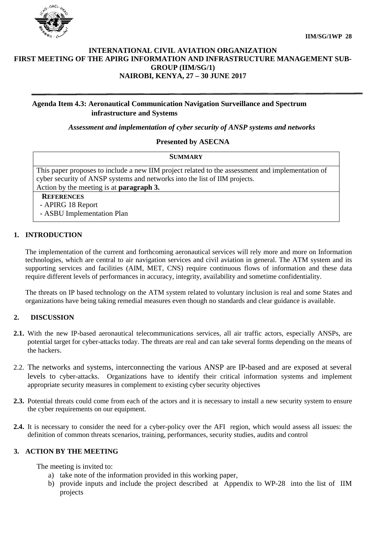

## **INTERNATIONAL CIVIL AVIATION ORGANIZATION FIRST MEETING OF THE APIRG INFORMATION AND INFRASTRUCTURE MANAGEMENT SUB-GROUP (IIM/SG/1) NAIROBI, KENYA, 27 – 30 JUNE 2017**

# **Agenda Item 4.3: Aeronautical Communication Navigation Surveillance and Spectrum infrastructure and Systems**

*Assessment and implementation of cyber security of ANSP systems and networks*

#### **Presented by ASECNA**

| <b>SUMMARY</b>                                                                                                                                                                 |
|--------------------------------------------------------------------------------------------------------------------------------------------------------------------------------|
| This paper proposes to include a new IIM project related to the assessment and implementation of<br>cyber security of ANSP systems and networks into the list of IIM projects. |
| Action by the meeting is at <b>paragraph 3.</b>                                                                                                                                |
| <b>REFERENCES</b><br>- APIRG 18 Report<br>- ASBU Implementation Plan                                                                                                           |

## **1. INTRODUCTION**

The implementation of the current and forthcoming aeronautical services will rely more and more on Information technologies, which are central to air navigation services and civil aviation in general. The ATM system and its supporting services and facilities (AIM, MET, CNS) require continuous flows of information and these data require different levels of performances in accuracy, integrity, availability and sometime confidentiality.

The threats on IP based technology on the ATM system related to voluntary inclusion is real and some States and organizations have being taking remedial measures even though no standards and clear guidance is available.

## **2. DISCUSSION**

- **2.1.** With the new IP-based aeronautical telecommunications services, all air traffic actors, especially ANSPs, are potential target for cyber-attacks today. The threats are real and can take several forms depending on the means of the hackers.
- 2.2. The networks and systems, interconnecting the various ANSP are IP-based and are exposed at several levels to cyber-attacks. Organizations have to identify their critical information systems and implement appropriate security measures in complement to existing cyber security objectives
- **2.3.** Potential threats could come from each of the actors and it is necessary to install a new security system to ensure the cyber requirements on our equipment.
- **2.4.** It is necessary to consider the need for a cyber-policy over the AFI region, which would assess all issues: the definition of common threats scenarios, training, performances, security studies, audits and control

## **3. ACTION BY THE MEETING**

The meeting is invited to:

- a) take note of the information provided in this working paper,
- b) provide inputs and include the project described at Appendix to WP-28 into the list of IIM projects